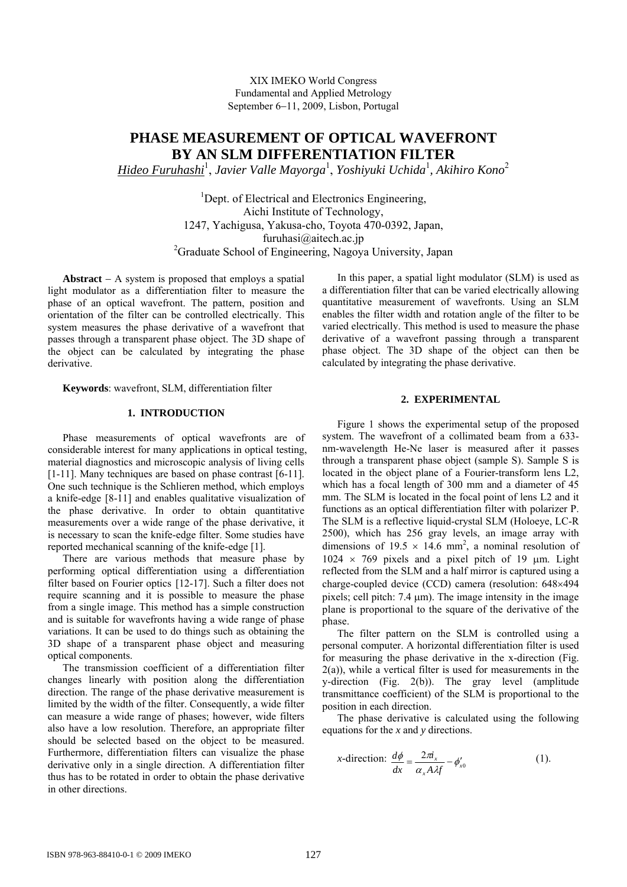# **PHASE MEASUREMENT OF OPTICAL WAVEFRONT BY AN SLM DIFFERENTIATION FILTER**

*Hideo Furuhashi*<sup>1</sup> , *Javier Valle Mayorga*<sup>1</sup> , *Yoshiyuki Uchida*<sup>1</sup> *, Akihiro Kono*<sup>2</sup>

<sup>1</sup>Dept. of Electrical and Electronics Engineering, Aichi Institute of Technology, 1247, Yachigusa, Yakusa-cho, Toyota 470-0392, Japan, furuhasi@aitech.ac.jp <sup>2</sup>Graduate School of Engineering, Nagoya University, Japan

**Abstract** − A system is proposed that employs a spatial light modulator as a differentiation filter to measure the phase of an optical wavefront. The pattern, position and orientation of the filter can be controlled electrically. This system measures the phase derivative of a wavefront that passes through a transparent phase object. The 3D shape of the object can be calculated by integrating the phase derivative.

**Keywords**: wavefront, SLM, differentiation filter

## **1. INTRODUCTION**

Phase measurements of optical wavefronts are of considerable interest for many applications in optical testing, material diagnostics and microscopic analysis of living cells [1-11]. Many techniques are based on phase contrast [6-11]. One such technique is the Schlieren method, which employs a knife-edge [8-11] and enables qualitative visualization of the phase derivative. In order to obtain quantitative measurements over a wide range of the phase derivative, it is necessary to scan the knife-edge filter. Some studies have reported mechanical scanning of the knife-edge [1].

There are various methods that measure phase by performing optical differentiation using a differentiation filter based on Fourier optics [12-17]. Such a filter does not require scanning and it is possible to measure the phase from a single image. This method has a simple construction and is suitable for wavefronts having a wide range of phase variations. It can be used to do things such as obtaining the 3D shape of a transparent phase object and measuring optical components.

The transmission coefficient of a differentiation filter changes linearly with position along the differentiation direction. The range of the phase derivative measurement is limited by the width of the filter. Consequently, a wide filter can measure a wide range of phases; however, wide filters also have a low resolution. Therefore, an appropriate filter should be selected based on the object to be measured. Furthermore, differentiation filters can visualize the phase derivative only in a single direction. A differentiation filter thus has to be rotated in order to obtain the phase derivative in other directions.

In this paper, a spatial light modulator (SLM) is used as a differentiation filter that can be varied electrically allowing quantitative measurement of wavefronts. Using an SLM enables the filter width and rotation angle of the filter to be varied electrically. This method is used to measure the phase derivative of a wavefront passing through a transparent phase object. The 3D shape of the object can then be calculated by integrating the phase derivative.

## **2. EXPERIMENTAL**

Figure 1 shows the experimental setup of the proposed system. The wavefront of a collimated beam from a 633 nm-wavelength He-Ne laser is measured after it passes through a transparent phase object (sample S). Sample S is located in the object plane of a Fourier-transform lens L2, which has a focal length of 300 mm and a diameter of 45 mm. The SLM is located in the focal point of lens L2 and it functions as an optical differentiation filter with polarizer P. The SLM is a reflective liquid-crystal SLM (Holoeye, LC-R 2500), which has 256 gray levels, an image array with dimensions of  $19.5 \times 14.6$  mm<sup>2</sup>, a nominal resolution of  $1024 \times 769$  pixels and a pixel pitch of 19 μm. Light reflected from the SLM and a half mirror is captured using a charge-coupled device (CCD) camera (resolution: 648×494 pixels; cell pitch: 7.4 μm). The image intensity in the image plane is proportional to the square of the derivative of the phase.

The filter pattern on the SLM is controlled using a personal computer. A horizontal differentiation filter is used for measuring the phase derivative in the x-direction (Fig. 2(a)), while a vertical filter is used for measurements in the y-direction (Fig. 2(b)). The gray level (amplitude transmittance coefficient) of the SLM is proportional to the position in each direction.

The phase derivative is calculated using the following equations for the *x* and *y* directions.

*x*-direction: 
$$
\frac{d\phi}{dx} = \frac{2\pi i_x}{\alpha_x A \lambda f} - \phi'_{x0}
$$
 (1).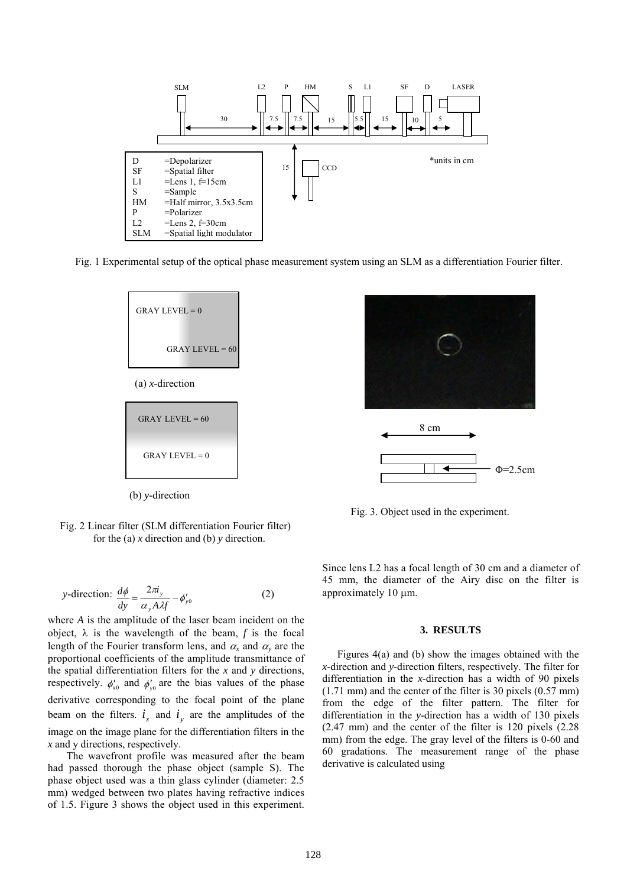

Fig. 1 Experimental setup of the optical phase measurement system using an SLM as a differentiation Fourier filter.



(a) *x*-direction

$$
GRAPH \t=60
$$
  
\n
$$
GRAPH \t=60
$$
  
\n
$$
GRAPH \t=0
$$

(b) *y*-direction

Fig. 2 Linear filter (SLM differentiation Fourier filter) for the (a) *x* direction and (b) *y* direction.

y-direction: 
$$
\frac{d\phi}{dy} = \frac{2\pi i_y}{\alpha_y A \lambda f} - \phi'_{y0}
$$
 (2)

where *A* is the amplitude of the laser beam incident on the object,  $\lambda$  is the wavelength of the beam,  $f$  is the focal length of the Fourier transform lens, and  $\alpha_x$  and  $\alpha_y$  are the proportional coefficients of the amplitude transmittance of the spatial differentiation filters for the *x* and *y* directions, respectively.  $\phi'_{x0}$  and  $\phi'_{y0}$  are the bias values of the phase derivative corresponding to the focal point of the plane beam on the filters.  $i_x$  and  $i_y$  are the amplitudes of the image on the image plane for the differentiation filters in the *x* and y directions, respectively.

The wavefront profile was measured after the beam had passed thorough the phase object (sample S). The phase object used was a thin glass cylinder (diameter: 2.5 mm) wedged between two plates having refractive indices of 1.5. Figure 3 shows the object used in this experiment.



Fig. 3. Object used in the experiment.

Since lens L2 has a focal length of 30 cm and a diameter of 45 mm, the diameter of the Airy disc on the filter is approximately 10 μm.

#### **3. RESULTS**

Figures 4(a) and (b) show the images obtained with the *x*-direction and *y*-direction filters, respectively. The filter for differentiation in the *x*-direction has a width of 90 pixels (1.71 mm) and the center of the filter is 30 pixels (0.57 mm) from the edge of the filter pattern. The filter for differentiation in the *y*-direction has a width of 130 pixels (2.47 mm) and the center of the filter is 120 pixels (2.28 mm) from the edge. The gray level of the filters is 0-60 and 60 gradations. The measurement range of the phase derivative is calculated using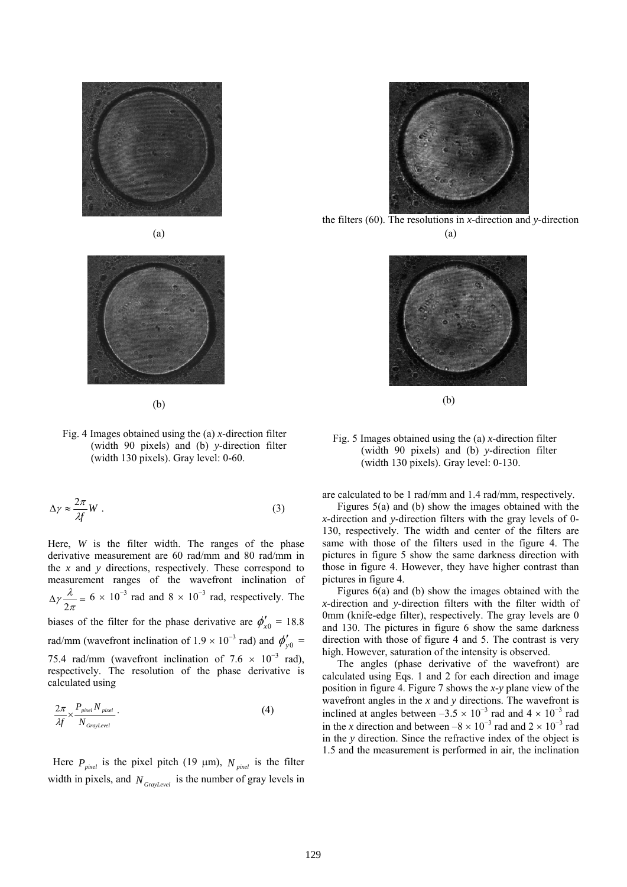





(b)

Fig. 4 Images obtained using the (a) *x*-direction filter (width 90 pixels) and (b) *y*-direction filter (width 130 pixels). Gray level: 0-60.

$$
\Delta \gamma \approx \frac{2\pi}{\lambda f} W \ . \tag{3}
$$

Here, *W* is the filter width. The ranges of the phase derivative measurement are 60 rad/mm and 80 rad/mm in the *x* and *y* directions, respectively. These correspond to measurement ranges of the wavefront inclination of  $\Delta \gamma \frac{\lambda}{2\pi}$  = λ  $\gamma \frac{\lambda}{2\pi} = 6 \times 10^{-3}$  rad and  $8 \times 10^{-3}$  rad, respectively. The biases of the filter for the phase derivative are  $\phi'_{x0} = 18.8$ rad/mm (wavefront inclination of  $1.9 \times 10^{-3}$  rad) and  $\phi'_{y0}$  = 75.4 rad/mm (wavefront inclination of 7.6  $\times$  10<sup>-3</sup> rad), respectively. The resolution of the phase derivative is calculated using

$$
\frac{2\pi}{\lambda f} \times \frac{P_{pixel} N_{pixel}}{N_{GrayLevel}} \tag{4}
$$

Here  $P_{pixel}$  is the pixel pitch (19  $\mu$ m),  $N_{pixel}$  is the filter width in pixels, and *N GrayLevel* is the number of gray levels in



the filters (60). The resolutions in *x*-direction and *y*-direction (a)



(b)

Fig. 5 Images obtained using the (a) *x*-direction filter (width 90 pixels) and (b) *y*-direction filter (width 130 pixels). Gray level: 0-130.

are calculated to be 1 rad/mm and 1.4 rad/mm, respectively.

Figures 5(a) and (b) show the images obtained with the *x*-direction and *y*-direction filters with the gray levels of 0- 130, respectively. The width and center of the filters are same with those of the filters used in the figure 4. The pictures in figure 5 show the same darkness direction with those in figure 4. However, they have higher contrast than pictures in figure 4.

Figures 6(a) and (b) show the images obtained with the *x*-direction and *y*-direction filters with the filter width of 0mm (knife-edge filter), respectively. The gray levels are 0 and 130. The pictures in figure 6 show the same darkness direction with those of figure 4 and 5. The contrast is very high. However, saturation of the intensity is observed.

The angles (phase derivative of the wavefront) are calculated using Eqs. 1 and 2 for each direction and image position in figure 4. Figure 7 shows the *x*-*y* plane view of the wavefront angles in the *x* and *y* directions. The wavefront is inclined at angles between  $-3.5 \times 10^{-3}$  rad and  $4 \times 10^{-3}$  rad in the *x* direction and between  $-8 \times 10^{-3}$  rad and  $2 \times 10^{-3}$  rad in the *y* direction. Since the refractive index of the object is 1.5 and the measurement is performed in air, the inclination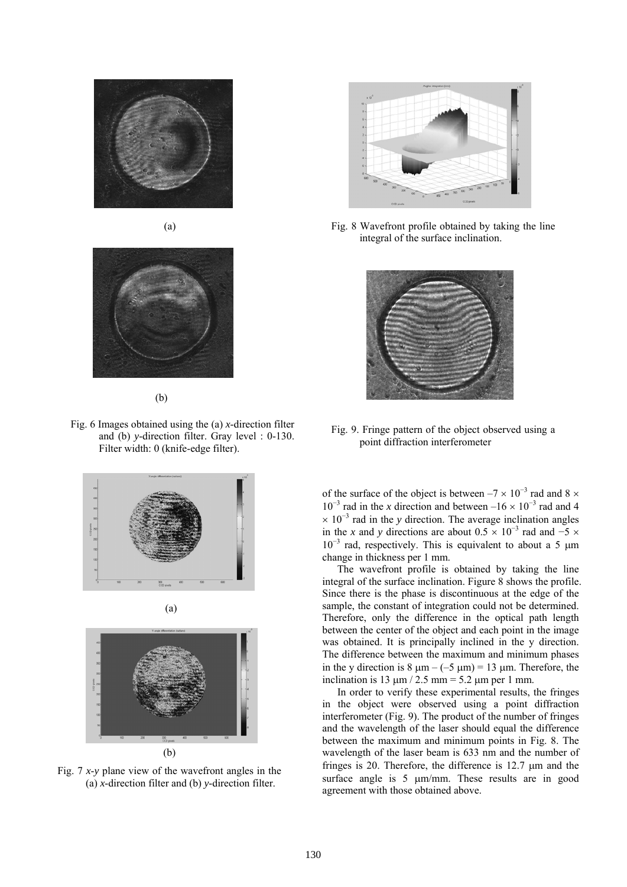





(b)

Fig. 6 Images obtained using the (a) *x*-direction filter and (b) *y*-direction filter. Gray level : 0-130. Filter width: 0 (knife-edge filter).



Fig. 7 *x*-*y* plane view of the wavefront angles in the (a) *x*-direction filter and (b) *y*-direction filter.



Fig. 8 Wavefront profile obtained by taking the line integral of the surface inclination.



Fig. 9. Fringe pattern of the object observed using a point diffraction interferometer

of the surface of the object is between  $-7 \times 10^{-3}$  rad and 8  $\times$  $10^{-3}$  rad in the *x* direction and between –16 ×  $10^{-3}$  rad and 4  $\times$  10<sup>-3</sup> rad in the *y* direction. The average inclination angles in the *x* and *y* directions are about  $0.5 \times 10^{-3}$  rad and  $-5 \times$ 10<sup>-3</sup> rad, respectively. This is equivalent to about a 5 μm change in thickness per 1 mm.

The wavefront profile is obtained by taking the line integral of the surface inclination. Figure 8 shows the profile. Since there is the phase is discontinuous at the edge of the sample, the constant of integration could not be determined. Therefore, only the difference in the optical path length between the center of the object and each point in the image was obtained. It is principally inclined in the y direction. The difference between the maximum and minimum phases in the y direction is  $8 \mu m - (-5 \mu m) = 13 \mu m$ . Therefore, the inclination is 13  $\mu$ m / 2.5 mm = 5.2  $\mu$ m per 1 mm.

In order to verify these experimental results, the fringes in the object were observed using a point diffraction interferometer (Fig. 9). The product of the number of fringes and the wavelength of the laser should equal the difference between the maximum and minimum points in Fig. 8. The wavelength of the laser beam is 633 nm and the number of fringes is 20. Therefore, the difference is 12.7 μm and the surface angle is 5 μm/mm. These results are in good agreement with those obtained above.